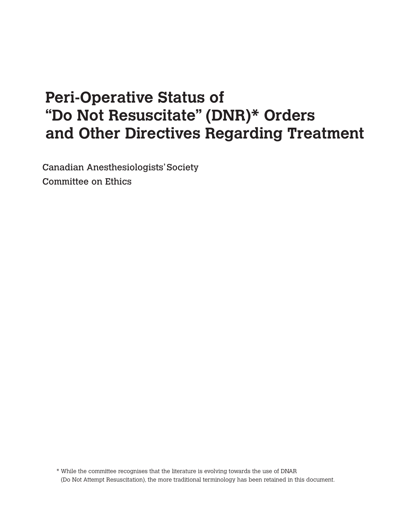# **Peri-Operative Status of "Do Not Resuscitate" (DNR)\* Orders and Other Directives Regarding Treatment**

Canadian Anesthesiologists'Society Committee on Ethics

\* While the committee recognises that the literature is evolving towards the use of DNAR (Do Not Attempt Resuscitation), the more traditional terminology has been retained in this document.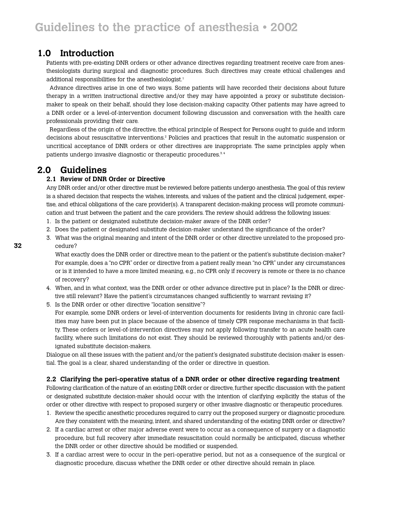## **1.0 Introduction**

Patients with pre-existing DNR orders or other advance directives regarding treatment receive care from anesthesiologists during surgical and diagnostic procedures. Such directives may create ethical challenges and additional responsibilities for the anesthesiologist.<sup>1</sup>

Advance directives arise in one of two ways. Some patients will have recorded their decisions about future therapy in a written instructional directive and/or they may have appointed a proxy or substitute decisionmaker to speak on their behalf, should they lose decision-making capacity. Other patients may have agreed to a DNR order or a level-of-intervention document following discussion and conversation with the health care professionals providing their care.

Regardless of the origin of the directive, the ethical principle of Respect for Persons ought to guide and inform decisions about resuscitative interventions.2 Policies and practices that result in the automatic suspension or uncritical acceptance of DNR orders or other directives are inappropriate. The same principles apply when patients undergo invasive diagnostic or therapeutic procedures.<sup>3,4</sup>

## **2.0 Guidelines**

#### **2.1 Review of DNR Order or Directive**

Any DNR order and/or other directive must be reviewed before patients undergo anesthesia. The goal of this review is a shared decision that respects the wishes, interests, and values of the patient and the clinical judgement, expertise, and ethical obligations of the care provider(s). A transparent decision-making process will promote communication and trust between the patient and the care providers. The review should address the following issues:

- 1. Is the patient or designated substitute decision-maker aware of the DNR order?
- 2. Does the patient or designated substitute decision-maker understand the significance of the order?
- 3. What was the original meaning and intent of the DNR order or other directive unrelated to the proposed procedure?

What exactly does the DNR order or directive mean to the patient or the patient's substitute decision-maker? For example, does a "no CPR" order or directive from a patient really mean "no CPR" under any circumstances or is it intended to have a more limited meaning, e.g., no CPR only if recovery is remote or there is no chance of recovery?

- 4. When, and in what context, was the DNR order or other advance directive put in place? Is the DNR or directive still relevant? Have the patient's circumstances changed sufficiently to warrant revising it?
- 5. Is the DNR order or other directive "location sensitive"?

For example, some DNR orders or level-of-intervention documents for residents living in chronic care facilities may have been put in place because of the absence of timely CPR response mechanisms in that facility. These orders or level-of-intervention directives may not apply following transfer to an acute health care facility, where such limitations do not exist. They should be reviewed thoroughly with patients and/or designated substitute decision-makers.

Dialogue on all these issues with the patient and/or the patient's designated substitute decision-maker is essential. The goal is a clear, shared understanding of the order or directive in question.

#### **2.2 Clarifying the peri-operative status of a DNR order or other directive regarding treatment**

Following clarification of the nature of an existing DNR order or directive, further specific discussion with the patient or designated substitute decision-maker should occur with the intention of clarifying explicitly the status of the order or other directive with respect to proposed surgery or other invasive diagnostic or therapeutic procedures.

- 1. Review the specific anesthetic procedures required to carry out the proposed surgery or diagnostic procedure. Are they consistent with the meaning, intent, and shared understanding of the existing DNR order or directive?
- 2. If a cardiac arrest or other major adverse event were to occur as a consequence of surgery or a diagnostic procedure, but full recovery after immediate resuscitation could normally be anticipated, discuss whether the DNR order or other directive should be modified or suspended.
- 3. If a cardiac arrest were to occur in the peri-operative period, but not as a consequence of the surgical or diagnostic procedure, discuss whether the DNR order or other directive should remain in place.